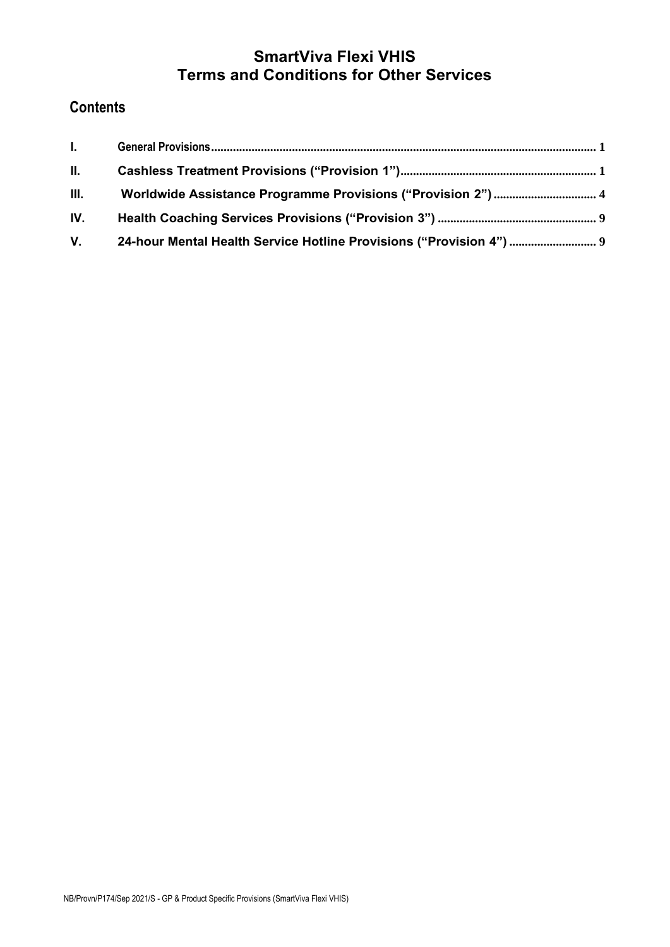# **SmartViva Flexi VHIS Terms and Conditions for Other Services**

# **Contents**

| $\mathbf{L}$ |  |
|--------------|--|
| II.          |  |
| III.         |  |
| IV.          |  |
| $V_{\rm{r}}$ |  |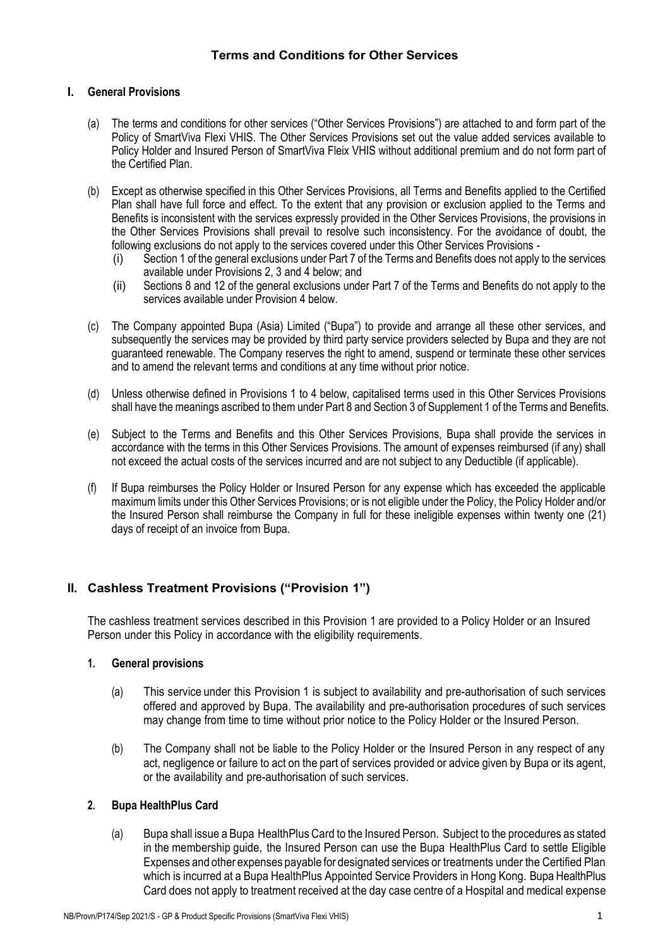# <span id="page-1-0"></span>**I. General Provisions**

- (a) The terms and conditions for other services ("Other Services Provisions") are attached to and form part of the Policy of SmartViva Flexi VHIS. The Other Services Provisions set out the value added services available to Policy Holder and Insured Person of SmartViva Fleix VHIS without additional premium and do not form part of the Certified Plan.
- (b) Except as otherwise specified in this Other Services Provisions, all Terms and Benefits applied to the Certified Plan shall have full force and effect. To the extent that any provision or exclusion applied to the Terms and Benefits is inconsistent with the services expressly provided in the Other Services Provisions, the provisions in the Other Services Provisions shall prevail to resolve such inconsistency. For the avoidance of doubt, the following exclusions do not apply to the services covered under this Other Services Provisions -
	- (i) Section 1 of the general exclusions under Part 7 of the Terms and Benefits does not apply to the services available under Provisions 2, 3 and 4 below; and
	- (ii) Sections 8 and 12 of the general exclusions under Part 7 of the Terms and Benefits do not apply to the services available under Provision 4 below.
- (c) The Company appointed Bupa (Asia) Limited ("Bupa") to provide and arrange all these other services, and subsequently the services may be provided by third party service providers selected by Bupa and they are not guaranteed renewable. The Company reserves the right to amend, suspend or terminate these other services and to amend the relevant terms and conditions at any time without prior notice.
- (d) Unless otherwise defined in Provisions 1 to 4 below, capitalised terms used in this Other Services Provisions shall have the meanings ascribed to them under Part 8 and Section 3 of Supplement 1 of the Terms and Benefits.
- (e) Subject to the Terms and Benefits and this Other Services Provisions, Bupa shall provide the services in accordance with the terms in this Other Services Provisions. The amount of expenses reimbursed (if any) shall not exceed the actual costs of the services incurred and are not subject to any Deductible (if applicable).
- (f) If Bupa reimburses the Policy Holder or Insured Person for any expense which has exceeded the applicable maximum limits under this Other Services Provisions; or is not eligible under the Policy, the Policy Holder and/or the Insured Person shall reimburse the Company in full for these ineligible expenses within twenty one (21) days of receipt of an invoice from Bupa.

# <span id="page-1-1"></span>**II. Cashless Treatment Provisions ("Provision 1")**

The cashless treatment services described in this Provision 1 are provided to a Policy Holder or an Insured Person under this Policy in accordance with the eligibility requirements.

#### **1. General provisions**

- (a) This service under this Provision 1 is subject to availability and pre-authorisation of such services offered and approved by Bupa. The availability and pre-authorisation procedures of such services may change from time to time without prior notice to the Policy Holder or the Insured Person.
- (b) The Company shall not be liable to the Policy Holder or the Insured Person in any respect of any act, negligence or failure to act on the part of services provided or advice given by Bupa or its agent, or the availability and pre-authorisation of such services.

# **2. Bupa HealthPlus Card**

(a) Bupa shall issue a Bupa HealthPlus Card to the Insured Person. Subject to the procedures as stated in the membership guide, the Insured Person can use the Bupa HealthPlus Card to settle Eligible Expenses and other expenses payable for designated services or treatments under the Certified Plan which is incurred at a Bupa HealthPlus Appointed Service Providers in Hong Kong. Bupa HealthPlus Card does not apply to treatment received at the day case centre of a Hospital and medical expense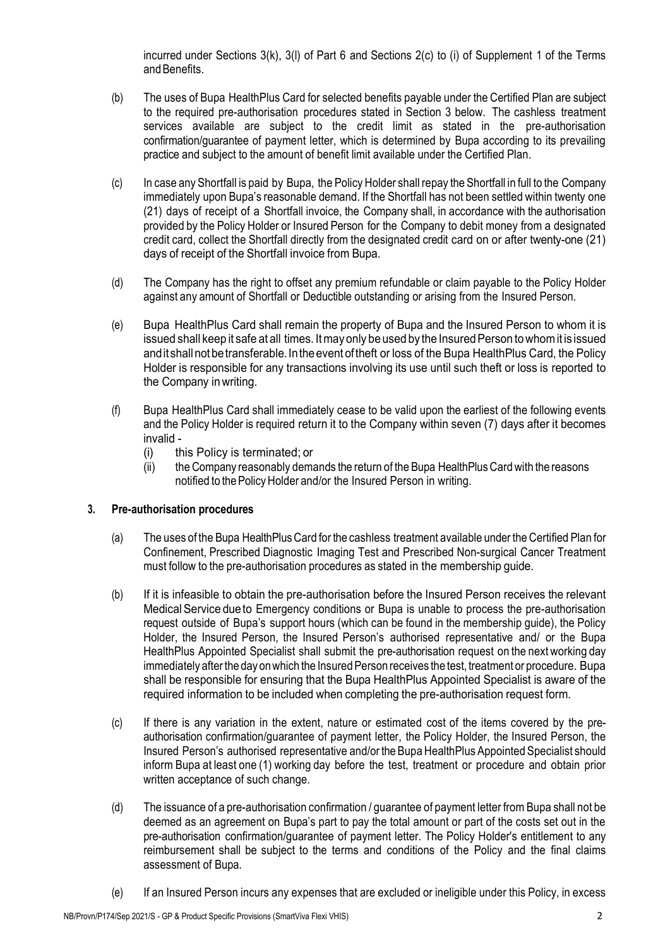incurred under Sections 3(k), 3(l) of Part 6 and Sections 2(c) to (i) of Supplement 1 of the Terms and Benefits.

- (b) The uses of Bupa HealthPlus Card for selected benefits payable under the Certified Plan are subject to the required pre-authorisation procedures stated in Section 3 below. The cashless treatment services available are subject to the credit limit as stated in the pre-authorisation confirmation/guarantee of payment letter, which is determined by Bupa according to its prevailing practice and subject to the amount of benefit limit available under the Certified Plan.
- (c) In case any Shortfall is paid by Bupa, the Policy Holder shall repay the Shortfall in full to the Company immediately upon Bupa's reasonable demand. If the Shortfall has not been settled within twenty one (21) days of receipt of a Shortfall invoice, the Company shall, in accordance with the authorisation provided by the Policy Holder or Insured Person for the Company to debit money from a designated credit card, collect the Shortfall directly from the designated credit card on or after twenty-one (21) days of receipt of the Shortfall invoice from Bupa.
- (d) The Company has the right to offset any premium refundable or claim payable to the Policy Holder against any amount of Shortfall or Deductible outstanding or arising from the Insured Person.
- (e) Bupa HealthPlus Card shall remain the property of Bupa and the Insured Person to whom it is issued shall keep it safe at all times. It may only be used by the Insured Person to whom it is issued and it shall not be transferable. In the event of theft or loss of the Bupa Health Plus Card, the Policy Holder is responsible for any transactions involving its use until such theft or loss is reported to the Company inwriting.
- (f) Bupa HealthPlus Card shall immediately cease to be valid upon the earliest of the following events and the Policy Holder is required return it to the Company within seven (7) days after it becomes invalid -
	- (i) this Policy is terminated; or
	- (ii) the Company reasonably demands the return of the Bupa HealthPlusCardwith the reasons notified to the Policy Holder and/or the Insured Person in writing.

# **3. Pre-authorisation procedures**

- (a) The uses of the Bupa HealthPlusCard for the cashless treatment available under the Certified Plan for Confinement, Prescribed Diagnostic Imaging Test and Prescribed Non-surgical Cancer Treatment must follow to the pre-authorisation procedures as stated in the membership guide.
- (b) If it is infeasible to obtain the pre-authorisation before the Insured Person receives the relevant Medical Service dueto Emergency conditions or Bupa is unable to process the pre-authorisation request outside of Bupa's support hours (which can be found in the membership guide), the Policy Holder, the Insured Person, the Insured Person's authorised representative and/ or the Bupa HealthPlus Appointed Specialist shall submit the pre-authorisation request on the next working day immediately after the day on which the Insured Person receives the test, treatment or procedure. Bupa shall be responsible for ensuring that the Bupa HealthPlus Appointed Specialist is aware of the required information to be included when completing the pre-authorisation request form.
- (c) If there is any variation in the extent, nature or estimated cost of the items covered by the preauthorisation confirmation/guarantee of payment letter, the Policy Holder, the Insured Person, the Insured Person's authorised representative and/or the Bupa HealthPlus Appointed Specialist should inform Bupa at least one (1) working day before the test, treatment or procedure and obtain prior written acceptance of such change.
- (d) The issuance of a pre-authorisation confirmation / guarantee of payment letter from Bupa shall not be deemed as an agreement on Bupa's part to pay the total amount or part of the costs set out in the pre-authorisation confirmation/guarantee of payment letter. The Policy Holder's entitlement to any reimbursement shall be subject to the terms and conditions of the Policy and the final claims assessment of Bupa.
- (e) If an Insured Person incurs any expenses that are excluded or ineligible under this Policy, in excess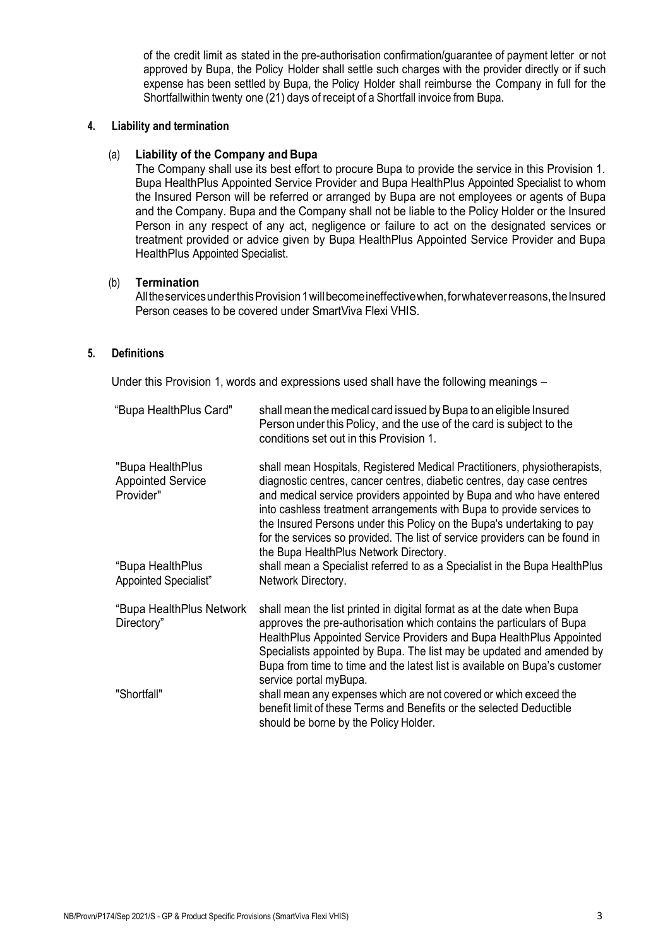of the credit limit as stated in the pre-authorisation confirmation/guarantee of payment letter or not approved by Bupa, the Policy Holder shall settle such charges with the provider directly or if such expense has been settled by Bupa, the Policy Holder shall reimburse the Company in full for the Shortfallwithin twenty one (21) days of receipt of a Shortfall invoice from Bupa.

#### **4. Liability and termination**

## (a) **Liability of the Company and Bupa**

The Company shall use its best effort to procure Bupa to provide the service in this Provision 1. Bupa HealthPlus Appointed Service Provider and Bupa HealthPlus Appointed Specialist to whom the Insured Person will be referred or arranged by Bupa are not employees or agents of Bupa and the Company. Bupa and the Company shall not be liable to the Policy Holder or the Insured Person in any respect of any act, negligence or failure to act on the designated services or treatment provided or advice given by Bupa HealthPlus Appointed Service Provider and Bupa HealthPlus Appointed Specialist.

## (b) **Termination**

All the services under this Provision 1 will become ineffective when, for whatever reasons, the Insured Person ceases to be covered under SmartViva Flexi VHIS.

## **5. Definitions**

Under this Provision 1, words and expressions used shall have the following meanings –

| "Bupa HealthPlus Card"                                    | shall mean the medical card issued by Bupa to an eligible Insured<br>Person under this Policy, and the use of the card is subject to the<br>conditions set out in this Provision 1.                                                                                                                                                                                                                                                                                                                     |
|-----------------------------------------------------------|---------------------------------------------------------------------------------------------------------------------------------------------------------------------------------------------------------------------------------------------------------------------------------------------------------------------------------------------------------------------------------------------------------------------------------------------------------------------------------------------------------|
| "Bupa HealthPlus<br><b>Appointed Service</b><br>Provider" | shall mean Hospitals, Registered Medical Practitioners, physiotherapists,<br>diagnostic centres, cancer centres, diabetic centres, day case centres<br>and medical service providers appointed by Bupa and who have entered<br>into cashless treatment arrangements with Bupa to provide services to<br>the Insured Persons under this Policy on the Bupa's undertaking to pay<br>for the services so provided. The list of service providers can be found in<br>the Bupa HealthPlus Network Directory. |
| "Bupa HealthPlus<br>Appointed Specialist"                 | shall mean a Specialist referred to as a Specialist in the Bupa HealthPlus<br>Network Directory.                                                                                                                                                                                                                                                                                                                                                                                                        |
| "Bupa HealthPlus Network<br>Directory"                    | shall mean the list printed in digital format as at the date when Bupa<br>approves the pre-authorisation which contains the particulars of Bupa<br>HealthPlus Appointed Service Providers and Bupa HealthPlus Appointed<br>Specialists appointed by Bupa. The list may be updated and amended by<br>Bupa from time to time and the latest list is available on Bupa's customer<br>service portal myBupa.                                                                                                |
| "Shortfall"                                               | shall mean any expenses which are not covered or which exceed the<br>benefit limit of these Terms and Benefits or the selected Deductible<br>should be borne by the Policy Holder.                                                                                                                                                                                                                                                                                                                      |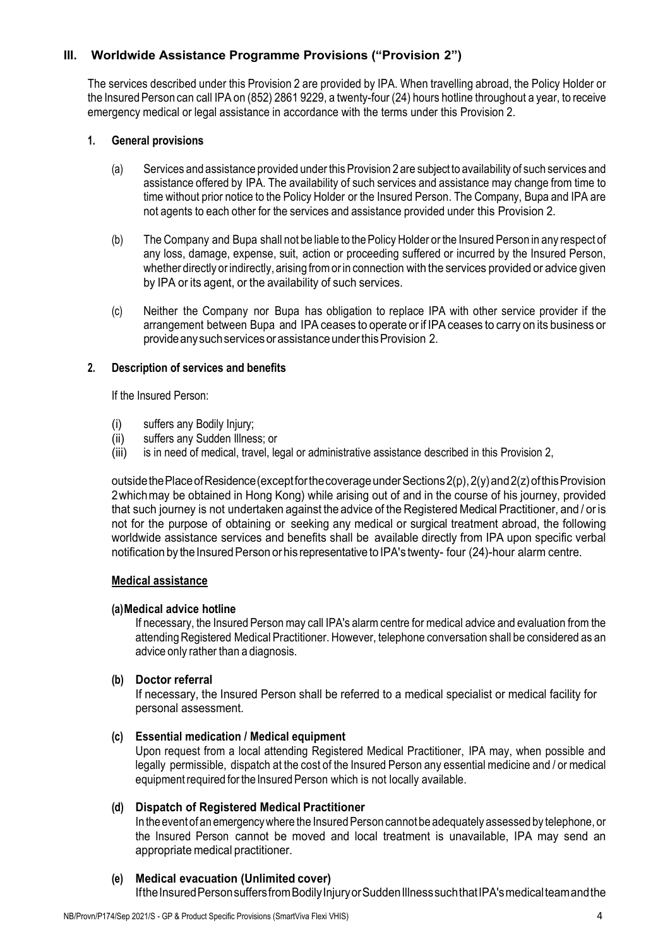# <span id="page-4-0"></span>**III. Worldwide Assistance Programme Provisions ("Provision 2")**

The services described under this Provision 2 are provided by IPA. When travelling abroad, the Policy Holder or the Insured Person can call IPA on (852) 2861 9229, a twenty-four (24) hours hotline throughout a year, to receive emergency medical or legal assistance in accordance with the terms under this Provision 2.

## **1. General provisions**

- (a) Services and assistance provided under this Provision 2 are subject to availability of such services and assistance offered by IPA. The availability of such services and assistance may change from time to time without prior notice to the Policy Holder or the Insured Person. The Company, Bupa and IPA are not agents to each other for the services and assistance provided under this Provision 2.
- (b) The Company and Bupa shall not be liable to the Policy Holder or the Insured Person in any respect of any loss, damage, expense, suit, action or proceeding suffered or incurred by the Insured Person, whether directly orindirectly, arising fromorin connection with the services provided or advice given by IPA or its agent, or the availability of such services.
- (c) Neither the Company nor Bupa has obligation to replace IPA with other service provider if the arrangement between Bupa and IPA ceases to operate orif IPAceases to carry on its business or provideanysuchservicesorassistanceunderthisProvision 2.

## **2. Description of services and benefits**

If the Insured Person:

- (i) suffers any Bodily Injury;
- (ii) suffers any Sudden Illness; or
- (iii) is in need of medical, travel, legal or administrative assistance described in this Provision 2,

outside the Place of Residence (except for the coverage under Sections  $2(p)$ ,  $2(y)$  and  $2(z)$  of this Provision 2whichmay be obtained in Hong Kong) while arising out of and in the course of his journey, provided that such journey is not undertaken against the advice of the Registered Medical Practitioner, and / or is not for the purpose of obtaining or seeking any medical or surgical treatment abroad, the following worldwide assistance services and benefits shall be available directly from IPA upon specific verbal notification by the Insured Person or his representative to IPA's twenty- four (24)-hour alarm centre.

# **Medical assistance**

# **(a)Medical advice hotline**

If necessary, the Insured Personmay call IPA's alarmcentre for medical advice and evaluation from the attendingRegistered Medical Practitioner. However, telephone conversation shall be considered as an advice only rather than a diagnosis.

# **(b) Doctor referral**

If necessary, the Insured Person shall be referred to a medical specialist or medical facility for personal assessment.

# **(c) Essential medication / Medical equipment**

Upon request from a local attending Registered Medical Practitioner, IPA may, when possible and legally permissible, dispatch at the cost of the Insured Person any essential medicine and / or medical equipment required for the Insured Person which is not locally available.

# **(d) Dispatch of Registered Medical Practitioner**

In the event of an emergency where the Insured Person cannot be adequately assessed by telephone, or the Insured Person cannot be moved and local treatment is unavailable, IPA may send an appropriate medical practitioner.

# **(e) Medical evacuation (Unlimited cover)**

If the Insured Person suffers from Bodily Injury or Sudden Illness such that IPA's medical team and the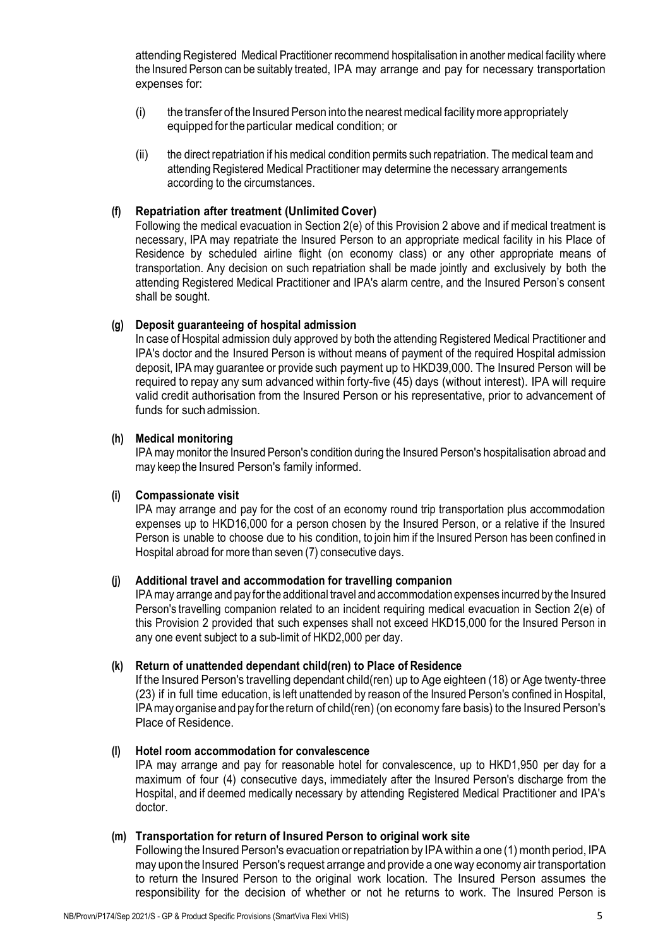attending Registered Medical Practitioner recommend hospitalisation in another medical facility where the Insured Person can be suitably treated, IPA may arrange and pay for necessary transportation expenses for:

- (i) the transfer of the Insured Person into the nearestmedical facilitymore appropriately equipped forthe particular medical condition; or
- (ii) the direct repatriation if his medical condition permits such repatriation. The medical team and attending Registered Medical Practitioner may determine the necessary arrangements according to the circumstances.

## **(f) Repatriation after treatment (Unlimited Cover)**

Following the medical evacuation in Section 2(e) of this Provision 2 above and if medical treatment is necessary, IPA may repatriate the Insured Person to an appropriate medical facility in his Place of Residence by scheduled airline flight (on economy class) or any other appropriate means of transportation. Any decision on such repatriation shall be made jointly and exclusively by both the attending Registered Medical Practitioner and IPA's alarm centre, and the Insured Person's consent shall be sought.

#### **(g) Deposit guaranteeing of hospital admission**

In case of Hospital admission duly approved by both the attending Registered Medical Practitioner and IPA's doctor and the Insured Person is without means of payment of the required Hospital admission deposit, IPAmay guarantee or provide such payment up to HKD39,000. The Insured Person will be required to repay any sum advanced within forty-five (45) days (without interest). IPA will require valid credit authorisation from the Insured Person or his representative, prior to advancement of funds for such admission.

## **(h) Medical monitoring**

IPAmaymonitor the Insured Person's condition during the Insured Person's hospitalisation abroad and may keep the Insured Person's family informed.

#### **(i) Compassionate visit**

IPA may arrange and pay for the cost of an economy round trip transportation plus accommodation expenses up to HKD16,000 for a person chosen by the Insured Person, or a relative if the Insured Person is unable to choose due to his condition, to join himif the Insured Person has been confined in Hospital abroad formore than seven (7) consecutive days.

#### **(j) Additional travel and accommodation for travelling companion**

IPAmay arrange and pay for the additional travel and accommodation expenses incurred by the Insured Person's travelling companion related to an incident requiring medical evacuation in Section 2(e) of this Provision 2 provided that such expenses shall not exceed HKD15,000 for the Insured Person in any one event subject to a sub-limit of HKD2,000 per day.

#### **(k) Return of unattended dependant child(ren) to Place of Residence**

If the Insured Person's travelling dependant child(ren) up to Age eighteen (18) or Age twenty-three (23) if in full time education, is left unattended by reason of the Insured Person's confined in Hospital, IPAmay organise and pay forthe return of child(ren) (on economy fare basis) to the Insured Person's Place of Residence.

#### **(l) Hotel room accommodation for convalescence**

IPA may arrange and pay for reasonable hotel for convalescence, up to HKD1,950 per day for a maximum of four (4) consecutive days, immediately after the Insured Person's discharge from the Hospital, and if deemed medically necessary by attending Registered Medical Practitioner and IPA's doctor.

#### **(m) Transportation for return of Insured Person to original work site**

Following the Insured Person's evacuation or repatriation by IPA within a one (1) month period, IPA may uponthe Insured Person's request arrange and provide a oneway economy air transportation to return the Insured Person to the original work location. The Insured Person assumes the responsibility for the decision of whether or not he returns to work. The Insured Person is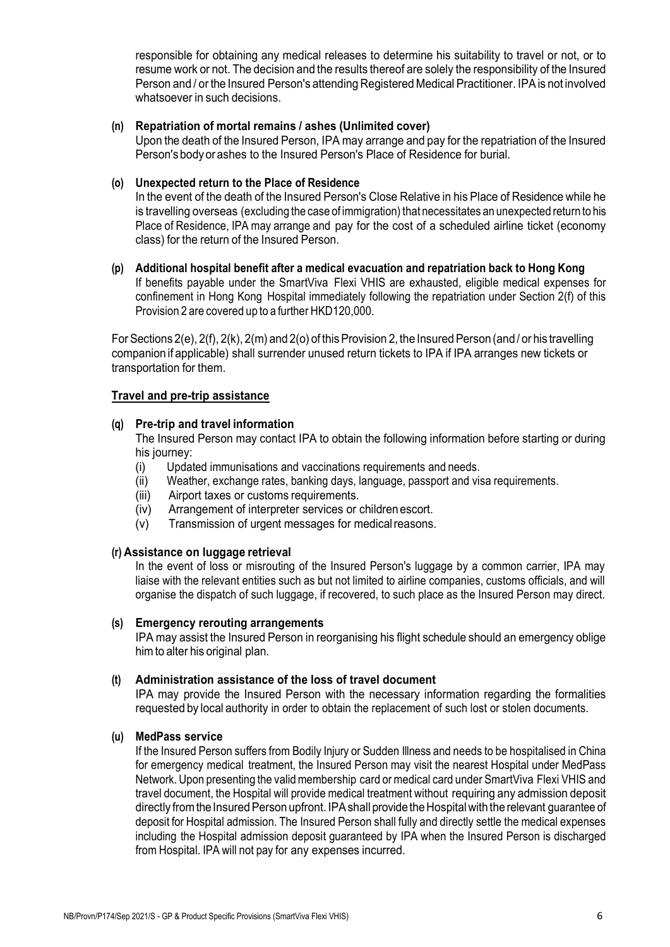responsible for obtaining any medical releases to determine his suitability to travel or not, or to resume work or not. The decision and the results thereof are solely the responsibility of the Insured Person and / or the Insured Person's attending Registered Medical Practitioner. IPA is not involved whatsoever in such decisions.

## **(n) Repatriation of mortal remains / ashes (Unlimited cover)**

Upon the death of the Insured Person, IPA may arrange and pay for the repatriation of the Insured Person's bodyorashes to the Insured Person's Place of Residence for burial.

#### **(o) Unexpected return to the Place of Residence**

In the event of the death of the Insured Person's Close Relative in his Place of Residence while he is travelling overseas (excluding the case of immigration) that necessitates an unexpected return to his Place of Residence, IPA may arrange and pay for the cost of a scheduled airline ticket (economy class) for the return of the Insured Person.

**(p) Additional hospital benefit after a medical evacuation and repatriation back to Hong Kong** If benefits payable under the SmartViva Flexi VHIS are exhausted, eligible medical expenses for confinement in Hong Kong Hospital immediately following the repatriation under Section 2(f) of this Provision 2 are covered up to a further HKD120,000.

For Sections 2(e), 2(f), 2(k), 2(m) and 2(o) of this Provision 2, the Insured Person (and / or his travelling companion if applicable) shall surrender unused return tickets to IPA if IPA arranges new tickets or transportation for them.

## **Travel and pre-trip assistance**

## **(q) Pre-trip and travel information**

The Insured Person may contact IPA to obtain the following information before starting or during his journey:

- (i) Updated immunisations and vaccinations requirements and needs.
- (ii) Weather, exchange rates, banking days, language, passport and visa requirements.
- 
- (iii) Airport taxes or customs requirements.<br>(iv) Arrangement of interpreter services or Arrangement of interpreter services or childrenescort.
- (v) Transmission of urgent messages for medicalreasons.

#### **(r) Assistance on luggage retrieval**

In the event of loss or misrouting of the Insured Person's luggage by a common carrier, IPA may liaise with the relevant entities such as but not limited to airline companies, customs officials, and will organise the dispatch of such luggage, if recovered, to such place as the Insured Person may direct.

#### **(s) Emergency rerouting arrangements**

IPA may assist the Insured Person in reorganising his flight schedule should an emergency oblige himto alter his original plan.

#### **(t) Administration assistance of the loss of travel document**

IPA may provide the Insured Person with the necessary information regarding the formalities requested by local authority in order to obtain the replacement of such lost or stolen documents.

#### **(u) MedPass service**

If the Insured Person suffers from Bodily Injury or Sudden Illness and needs to be hospitalised in China for emergency medical treatment, the Insured Person may visit the nearest Hospital under MedPass Network. Upon presenting the validmembership card ormedical card under SmartViva Flexi VHIS and travel document, the Hospital will provide medical treatment without requiring any admission deposit directly from the Insured Person upfront. IPA shall provide the Hospital with the relevant quarantee of deposit for Hospital admission. The Insured Person shall fully and directly settle the medical expenses including the Hospital admission deposit guaranteed by IPA when the Insured Person is discharged from Hospital. IPA will not pay for any expenses incurred.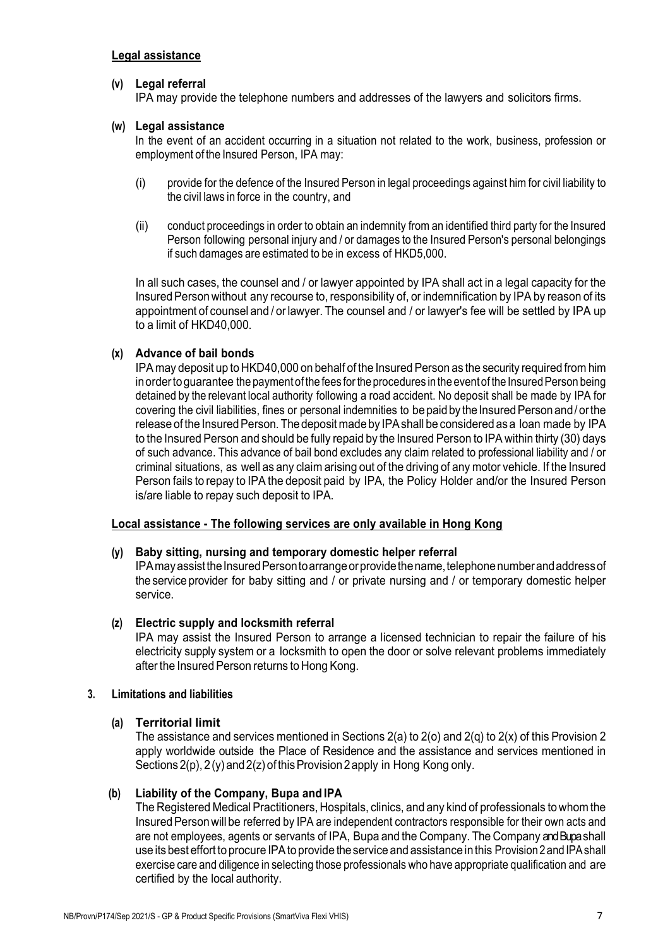# **(v) Legal referral**

IPA may provide the telephone numbers and addresses of the lawyers and solicitors firms.

## **(w) Legal assistance**

In the event of an accident occurring in a situation not related to the work, business, profession or employment of the Insured Person, IPA may:

- (i) provide for the defence of the Insured Person in legal proceedings against himfor civil liability to the civil laws in force in the country, and
- (ii) conduct proceedings in order to obtain an indemnity from an identified third party for the Insured Person following personal injury and / or damages to the Insured Person's personal belongings if such damages are estimated to be in excess of HKD5,000.

In all such cases, the counsel and / or lawyer appointed by IPA shall act in a legal capacity for the Insured Person without any recourse to, responsibility of, or indemnification by IPA by reason of its appointment of counsel and / orlawyer. The counsel and / or lawyer's fee will be settled by IPA up to a limit of HKD40,000.

# **(x) Advance of bail bonds**

IPA may deposit up to HKD40,000 on behalf of the Insured Person as the security required from him in order to guarantee the payment of the fees for the procedures in the event of the Insured Person being detained by the relevant local authority following a road accident. No deposit shall be made by IPA for covering the civil liabilities, fines or personal indemnities to be paid by the Insured Person and/ or the release of the Insured Person. The deposit made by IPA shall be considered as a loan made by IPA to the Insured Person and should be fully repaid by the Insured Person to IPA within thirty (30) days of such advance. This advance of bail bond excludes any claim related to professional liability and / or criminal situations, as well as any claimarising out of the driving of anymotor vehicle. If the Insured Person fails to repay to IPA the deposit paid by IPA, the Policy Holder and/or the Insured Person is/are liable to repay such deposit to IPA.

#### **Local assistance - The following services are only available in Hong Kong**

#### **(y) Baby sitting, nursing and temporary domestic helper referral**

IPA may assist the Insured Person to arrange or provide the name, telephone number and address of the service provider for baby sitting and / or private nursing and / or temporary domestic helper service.

# **(z) Electric supply and locksmith referral**

IPA may assist the Insured Person to arrange a licensed technician to repair the failure of his electricity supply system or a locksmith to open the door or solve relevant problems immediately after the Insured Person returns to Hong Kong.

#### **3. Limitations and liabilities**

# **(a) Territorial limit**

The assistance and services mentioned in Sections 2(a) to 2(o) and 2(q) to 2(x) of this Provision 2 apply worldwide outside the Place of Residence and the assistance and services mentioned in Sections  $2(p)$ ,  $2(y)$  and  $2(z)$  of this Provision 2 apply in Hong Kong only.

# **(b) Liability of the Company, Bupa and IPA**

The Registered Medical Practitioners, Hospitals, clinics, and any kind of professionals to whom the Insured Person will be referred by IPA are independent contractors responsible for their own acts and are not employees, agents or servants of IPA, Bupa and the Company. TheCompany and Bupa shall use its best effort to procure IPA to provide the service and assistance in this Provision 2 and IPA shall exercise care and diligence in selecting those professionals who have appropriate qualification and are certified by the local authority.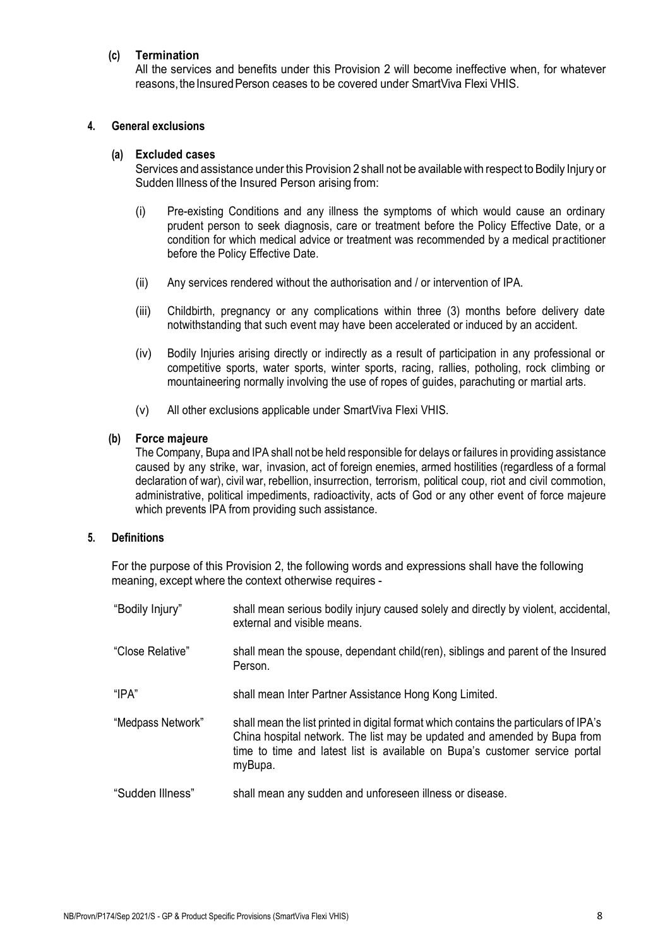## **(c) Termination**

All the services and benefits under this Provision 2 will become ineffective when, for whatever reasons, the Insured Person ceases to be covered under SmartViva Flexi VHIS.

#### **4. General exclusions**

#### **(a) Excluded cases**

Services and assistance under this Provision 2 shall not be availablewith respect to Bodily Injury or Sudden Illness of the Insured Person arising from:

- (i) Pre-existing Conditions and any illness the symptoms of which would cause an ordinary prudent person to seek diagnosis, care or treatment before the Policy Effective Date, or a condition for which medical advice or treatment was recommended by a medical practitioner before the Policy Effective Date.
- (ii) Any services rendered without the authorisation and / or intervention of IPA.
- (iii) Childbirth, pregnancy or any complications within three (3) months before delivery date notwithstanding that such event may have been accelerated or induced by an accident.
- (iv) Bodily Injuries arising directly or indirectly as a result of participation in any professional or competitive sports, water sports, winter sports, racing, rallies, potholing, rock climbing or mountaineering normally involving the use of ropes of guides, parachuting or martial arts.
- (v) All other exclusions applicable under SmartViva Flexi VHIS.

#### **(b) Force majeure**

The Company, Bupa and IPA shall not be held responsible for delays or failures in providing assistance caused by any strike, war, invasion, act of foreign enemies, armed hostilities (regardless of a formal declaration of war), civil war, rebellion, insurrection, terrorism, political coup, riot and civil commotion, administrative, political impediments, radioactivity, acts of God or any other event of force majeure which prevents IPA from providing such assistance.

## **5. Definitions**

For the purpose of this Provision 2, the following words and expressions shall have the following meaning, except where the context otherwise requires -

| "Bodily Injury"   | shall mean serious bodily injury caused solely and directly by violent, accidental,<br>external and visible means.                                                                                                                                          |
|-------------------|-------------------------------------------------------------------------------------------------------------------------------------------------------------------------------------------------------------------------------------------------------------|
| "Close Relative"  | shall mean the spouse, dependant child(ren), siblings and parent of the Insured<br>Person.                                                                                                                                                                  |
| "IPA"             | shall mean Inter Partner Assistance Hong Kong Limited.                                                                                                                                                                                                      |
| "Medpass Network" | shall mean the list printed in digital format which contains the particulars of IPA's<br>China hospital network. The list may be updated and amended by Bupa from<br>time to time and latest list is available on Bupa's customer service portal<br>myBupa. |
| "Sudden Illness"  | shall mean any sudden and unforeseen illness or disease.                                                                                                                                                                                                    |